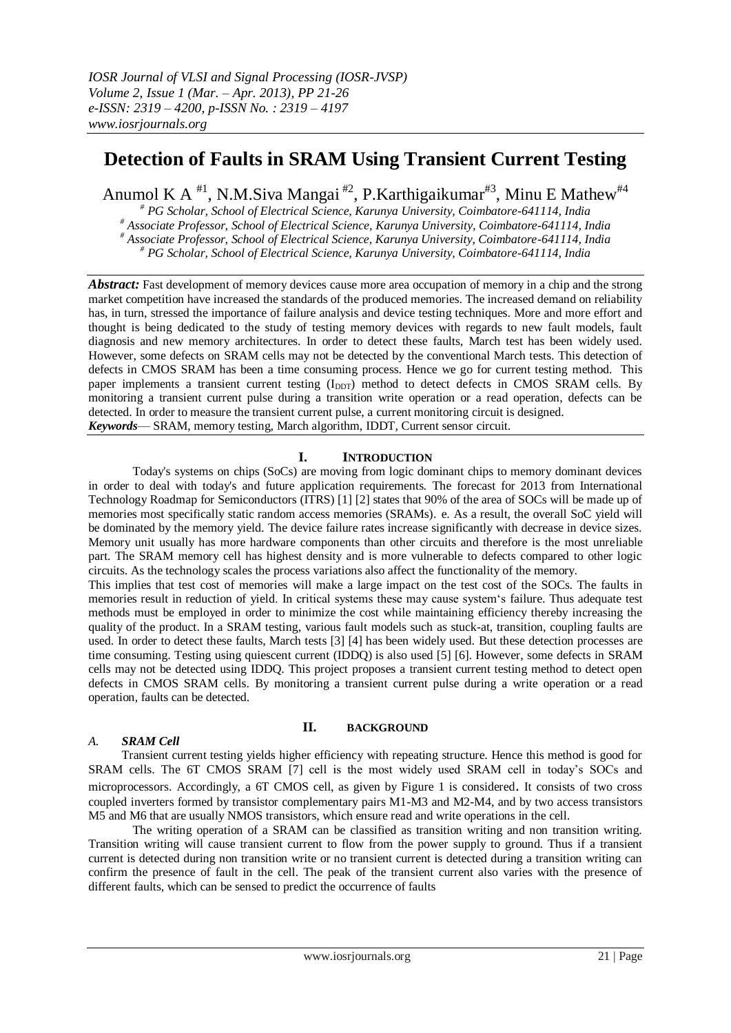# **Detection of Faults in SRAM Using Transient Current Testing**

Anumol K A <sup>#1</sup>, N.M.Siva Mangai <sup>#2</sup>, P.Karthigaikumar<sup>#3</sup>, Minu E Mathew<sup>#4</sup>

*# PG Scholar, School of Electrical Science, Karunya University, Coimbatore-641114, India # Associate Professor, School of Electrical Science, Karunya University, Coimbatore-641114, India # Associate Professor, School of Electrical Science, Karunya University, Coimbatore-641114, India # PG Scholar, School of Electrical Science, Karunya University, Coimbatore-641114, India*

*Abstract:* Fast development of memory devices cause more area occupation of memory in a chip and the strong market competition have increased the standards of the produced memories. The increased demand on reliability has, in turn, stressed the importance of failure analysis and device testing techniques. More and more effort and thought is being dedicated to the study of testing memory devices with regards to new fault models, fault diagnosis and new memory architectures. In order to detect these faults, March test has been widely used. However, some defects on SRAM cells may not be detected by the conventional March tests. This detection of defects in CMOS SRAM has been a time consuming process. Hence we go for current testing method. This paper implements a transient current testing (I<sub>DDT</sub>) method to detect defects in CMOS SRAM cells. By monitoring a transient current pulse during a transition write operation or a read operation, defects can be detected. In order to measure the transient current pulse, a current monitoring circuit is designed. *Keywords*— SRAM, memory testing, March algorithm, IDDT, Current sensor circuit.

# **I. INTRODUCTION**

Today's systems on chips (SoCs) are moving from logic dominant chips to memory dominant devices in order to deal with today's and future application requirements. The forecast for 2013 from International Technology Roadmap for Semiconductors (ITRS) [1] [2] states that 90% of the area of SOCs will be made up of memories most specifically static random access memories (SRAMs). e. As a result, the overall SoC yield will be dominated by the memory yield. The device failure rates increase significantly with decrease in device sizes. Memory unit usually has more hardware components than other circuits and therefore is the most unreliable part. The SRAM memory cell has highest density and is more vulnerable to defects compared to other logic circuits. As the technology scales the process variations also affect the functionality of the memory.

This implies that test cost of memories will make a large impact on the test cost of the SOCs. The faults in memories result in reduction of yield. In critical systems these may cause system s failure. Thus adequate test methods must be employed in order to minimize the cost while maintaining efficiency thereby increasing the quality of the product. In a SRAM testing, various fault models such as stuck-at, transition, coupling faults are used. In order to detect these faults, March tests [3] [4] has been widely used. But these detection processes are time consuming. Testing using quiescent current (IDDQ) is also used [5] [6]. However, some defects in SRAM cells may not be detected using IDDQ. This project proposes a transient current testing method to detect open defects in CMOS SRAM cells. By monitoring a transient current pulse during a write operation or a read operation, faults can be detected.

# *A. SRAM Cell*

# **II. BACKGROUND**

Transient current testing yields higher efficiency with repeating structure. Hence this method is good for SRAM cells. The 6T CMOS SRAM [7] cell is the most widely used SRAM cell in today's SOCs and microprocessors. Accordingly, a 6T CMOS cell, as given by Figure 1 is considered. It consists of two cross coupled inverters formed by transistor complementary pairs M1-M3 and M2-M4, and by two access transistors M5 and M6 that are usually NMOS transistors, which ensure read and write operations in the cell.

The writing operation of a SRAM can be classified as transition writing and non transition writing. Transition writing will cause transient current to flow from the power supply to ground. Thus if a transient current is detected during non transition write or no transient current is detected during a transition writing can confirm the presence of fault in the cell. The peak of the transient current also varies with the presence of different faults, which can be sensed to predict the occurrence of faults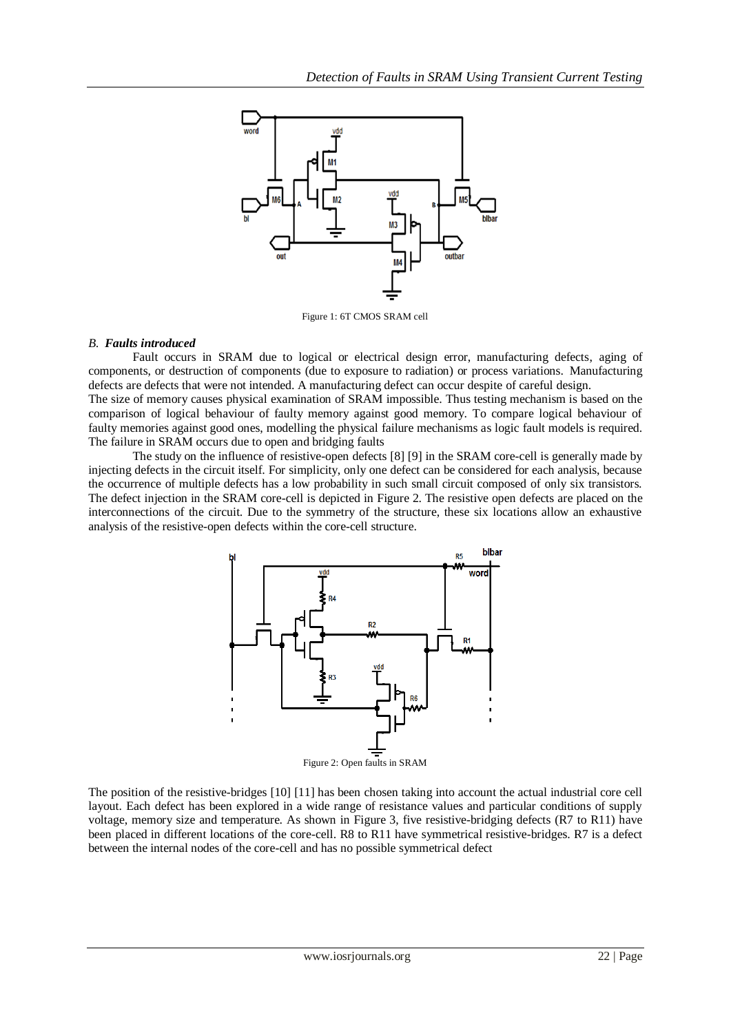

Figure 1: 6T CMOS SRAM cell

## *B. Faults introduced*

Fault occurs in SRAM due to logical or electrical design error, manufacturing defects, aging of components, or destruction of components (due to exposure to radiation) or process variations. Manufacturing defects are defects that were not intended. A manufacturing defect can occur despite of careful design.

The size of memory causes physical examination of SRAM impossible. Thus testing mechanism is based on the comparison of logical behaviour of faulty memory against good memory. To compare logical behaviour of faulty memories against good ones, modelling the physical failure mechanisms as logic fault models is required. The failure in SRAM occurs due to open and bridging faults

The study on the influence of resistive-open defects [8] [9] in the SRAM core-cell is generally made by injecting defects in the circuit itself. For simplicity, only one defect can be considered for each analysis, because the occurrence of multiple defects has a low probability in such small circuit composed of only six transistors. The defect injection in the SRAM core-cell is depicted in Figure 2. The resistive open defects are placed on the interconnections of the circuit. Due to the symmetry of the structure, these six locations allow an exhaustive analysis of the resistive-open defects within the core-cell structure.



Figure 2: Open faults in SRAM

The position of the resistive-bridges [10] [11] has been chosen taking into account the actual industrial core cell layout. Each defect has been explored in a wide range of resistance values and particular conditions of supply voltage, memory size and temperature. As shown in Figure 3, five resistive-bridging defects (R7 to R11) have been placed in different locations of the core-cell. R8 to R11 have symmetrical resistive-bridges. R7 is a defect between the internal nodes of the core-cell and has no possible symmetrical defect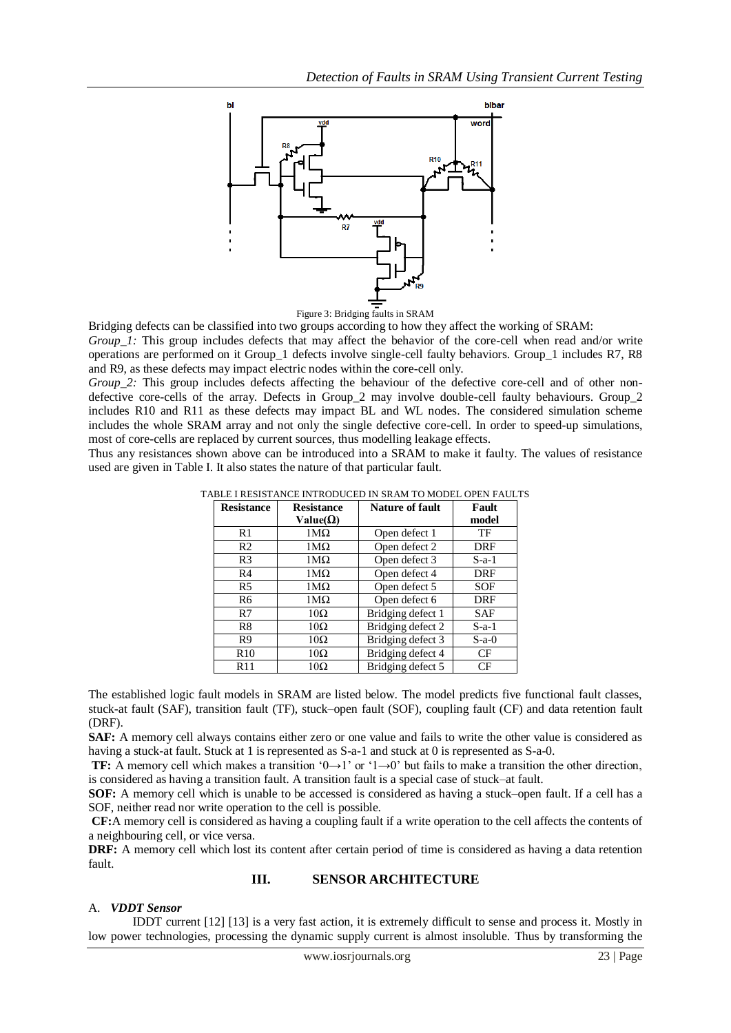



Bridging defects can be classified into two groups according to how they affect the working of SRAM:

*Group 1:* This group includes defects that may affect the behavior of the core-cell when read and/or write operations are performed on it Group\_1 defects involve single-cell faulty behaviors. Group\_1 includes R7, R8 and R9, as these defects may impact electric nodes within the core-cell only.

*Group* 2: This group includes defects affecting the behaviour of the defective core-cell and of other nondefective core-cells of the array. Defects in Group 2 may involve double-cell faulty behaviours. Group 2 includes R10 and R11 as these defects may impact BL and WL nodes. The considered simulation scheme includes the whole SRAM array and not only the single defective core-cell. In order to speed-up simulations, most of core-cells are replaced by current sources, thus modelling leakage effects.

Thus any resistances shown above can be introduced into a SRAM to make it faulty. The values of resistance used are given in Table I. It also states the nature of that particular fault.

|--|

| <b>Resistance</b> | <b>Resistance</b> | <b>Nature of fault</b> | Fault      |
|-------------------|-------------------|------------------------|------------|
|                   | Value( $\Omega$ ) |                        | model      |
| R1                | 1ΜΩ               | Open defect 1          | TF         |
| R <sub>2</sub>    | 1ΜΩ               | Open defect 2          | DRF        |
| R <sub>3</sub>    | $1\text{M}\Omega$ | Open defect 3          | $S-a-1$    |
| R4                | $1\text{M}\Omega$ | Open defect 4          | DRF        |
| R5                | 1ΜΩ               | Open defect 5          | SOF        |
| R6                | 1ΜΩ               | Open defect 6          | DRF        |
| R7                | $10\Omega$        | Bridging defect 1      | <b>SAF</b> |
| R <sup>8</sup>    | $10\Omega$        | Bridging defect 2      | $S-a-1$    |
| R <sub>9</sub>    | $10\Omega$        | Bridging defect 3      | $S-a-0$    |
| R <sub>10</sub>   | $10\Omega$        | Bridging defect 4      | CF         |
| R11               | $10\Omega$        | Bridging defect 5      | CF         |

The established logic fault models in SRAM are listed below. The model predicts five functional fault classes, stuck-at fault (SAF), transition fault (TF), stuck–open fault (SOF), coupling fault (CF) and data retention fault (DRF).

**SAF:** A memory cell always contains either zero or one value and fails to write the other value is considered as having a stuck-at fault. Stuck at 1 is represented as S-a-1 and stuck at 0 is represented as S-a-0.

**TF:** A memory cell which makes a transition  $(0 \rightarrow 1)$  or  $(1 \rightarrow 0)$  but fails to make a transition the other direction, is considered as having a transition fault. A transition fault is a special case of stuck–at fault.

**SOF:** A memory cell which is unable to be accessed is considered as having a stuck–open fault. If a cell has a SOF, neither read nor write operation to the cell is possible.

**CF:**A memory cell is considered as having a coupling fault if a write operation to the cell affects the contents of a neighbouring cell, or vice versa.

**DRF:** A memory cell which lost its content after certain period of time is considered as having a data retention fault.

## **III. SENSOR ARCHITECTURE**

## A. *VDDT Sensor*

IDDT current [12] [13] is a very fast action, it is extremely difficult to sense and process it. Mostly in low power technologies, processing the dynamic supply current is almost insoluble. Thus by transforming the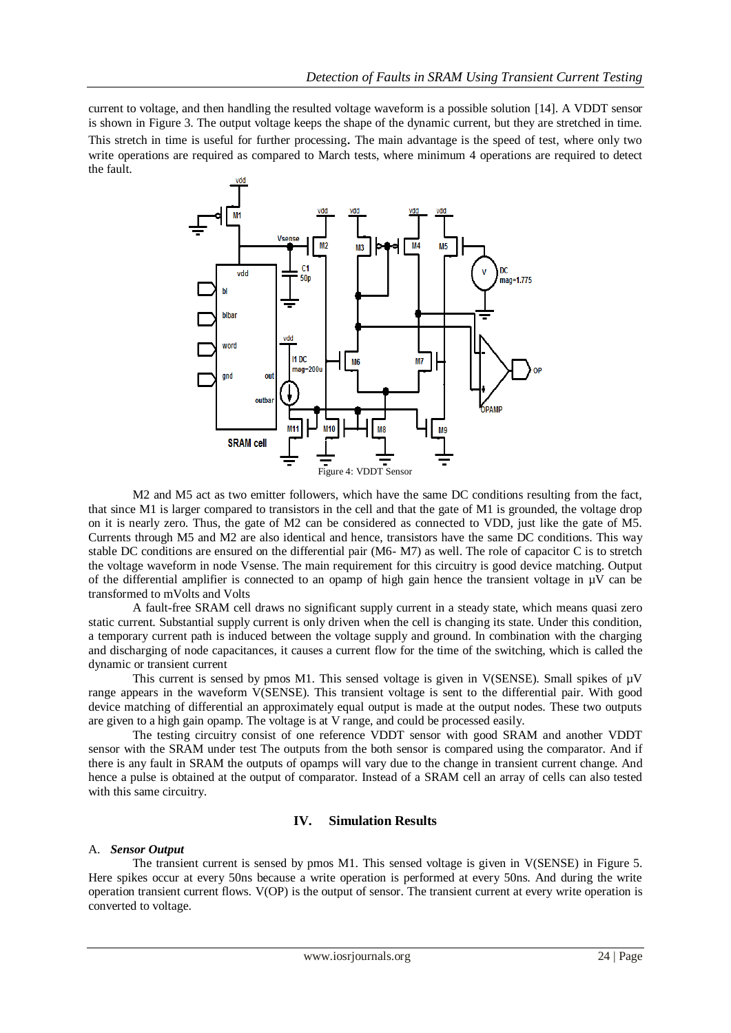current to voltage, and then handling the resulted voltage waveform is a possible solution [14]. A VDDT sensor is shown in Figure 3. The output voltage keeps the shape of the dynamic current, but they are stretched in time. This stretch in time is useful for further processing. The main advantage is the speed of test, where only two write operations are required as compared to March tests, where minimum 4 operations are required to detect the fault.



M2 and M5 act as two emitter followers, which have the same DC conditions resulting from the fact, that since M1 is larger compared to transistors in the cell and that the gate of M1 is grounded, the voltage drop on it is nearly zero. Thus, the gate of M2 can be considered as connected to VDD, just like the gate of M5. Currents through M5 and M2 are also identical and hence, transistors have the same DC conditions. This way stable DC conditions are ensured on the differential pair (M6- M7) as well. The role of capacitor C is to stretch the voltage waveform in node Vsense. The main requirement for this circuitry is good device matching. Output of the differential amplifier is connected to an opamp of high gain hence the transient voltage in  $\mu$ V can be transformed to mVolts and Volts

A fault-free SRAM cell draws no significant supply current in a steady state, which means quasi zero static current. Substantial supply current is only driven when the cell is changing its state. Under this condition, a temporary current path is induced between the voltage supply and ground. In combination with the charging and discharging of node capacitances, it causes a current flow for the time of the switching, which is called the dynamic or transient current

This current is sensed by pmos M1. This sensed voltage is given in V(SENSE). Small spikes of  $\mu$ V range appears in the waveform V(SENSE). This transient voltage is sent to the differential pair. With good device matching of differential an approximately equal output is made at the output nodes. These two outputs are given to a high gain opamp. The voltage is at V range, and could be processed easily.

The testing circuitry consist of one reference VDDT sensor with good SRAM and another VDDT sensor with the SRAM under test The outputs from the both sensor is compared using the comparator. And if there is any fault in SRAM the outputs of opamps will vary due to the change in transient current change. And hence a pulse is obtained at the output of comparator. Instead of a SRAM cell an array of cells can also tested with this same circuitry.

## **IV. Simulation Results**

## A. *Sensor Output*

The transient current is sensed by pmos M1. This sensed voltage is given in V(SENSE) in Figure 5. Here spikes occur at every 50ns because a write operation is performed at every 50ns. And during the write operation transient current flows. V(OP) is the output of sensor. The transient current at every write operation is converted to voltage.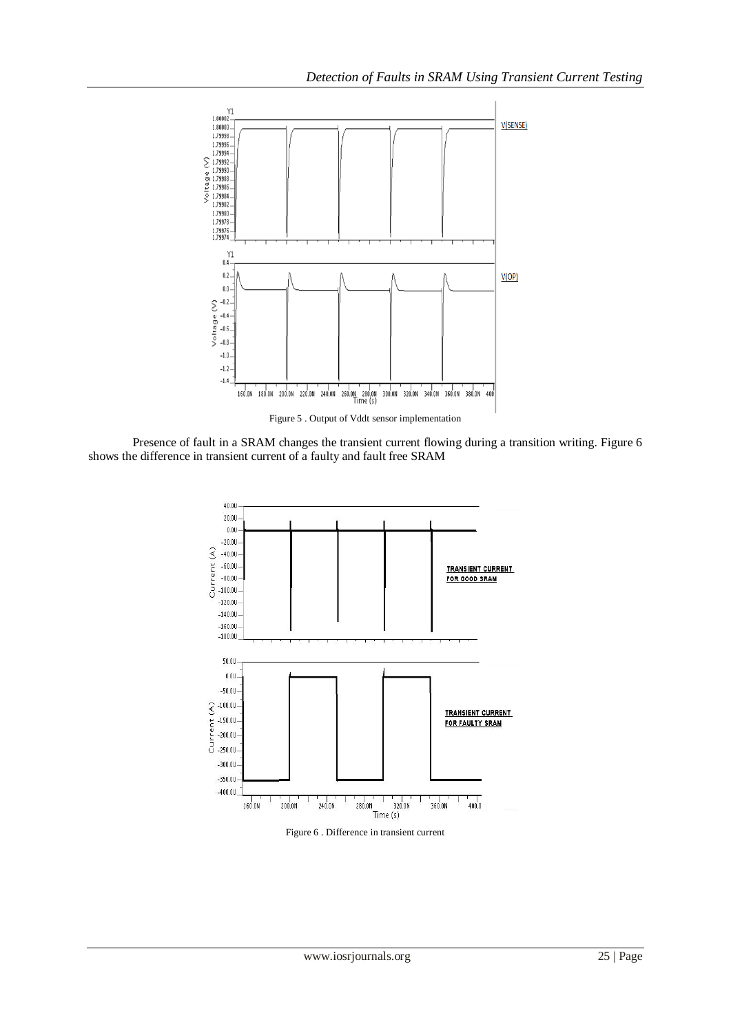

Presence of fault in a SRAM changes the transient current flowing during a transition writing. Figure 6 shows the difference in transient current of a faulty and fault free SRAM